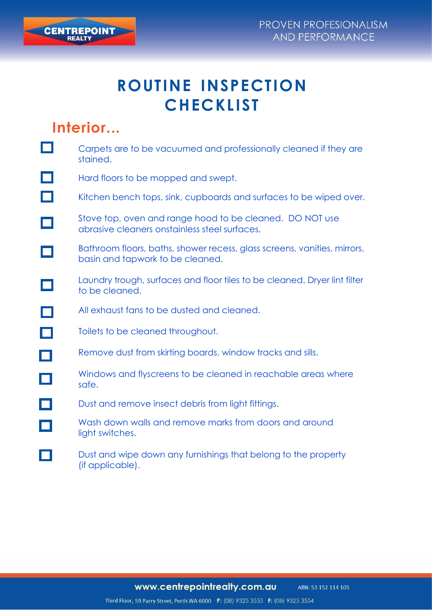

## **Interior...**

**CENTREPOINT** 

|   | Carpets are to be vacuumed and professionally cleaned if they are<br>stained.                                |
|---|--------------------------------------------------------------------------------------------------------------|
|   | Hard floors to be mopped and swept.                                                                          |
|   | Kitchen bench tops, sink, cupboards and surfaces to be wiped over.                                           |
|   | Stove top, oven and range hood to be cleaned. DO NOT use<br>abrasive cleaners onstainless steel surfaces.    |
|   | Bathroom floors, baths, shower recess, glass screens, vanities, mirrors,<br>basin and tapwork to be cleaned. |
|   | Laundry trough, surfaces and floor tiles to be cleaned. Dryer lint filter<br>to be cleaned.                  |
|   | All exhaust fans to be dusted and cleaned.                                                                   |
|   | Toilets to be cleaned throughout.                                                                            |
| L | Remove dust from skirting boards, window tracks and sills.                                                   |
|   | Windows and flyscreens to be cleaned in reachable areas where<br>safe.                                       |
|   | Dust and remove insect debris from light fittings.                                                           |
|   | Wash down walls and remove marks from doors and around<br>light switches.                                    |
|   | Dust and wipe down any furnishings that belong to the property<br>(if applicable).                           |

www.centrepointrealty.com.au